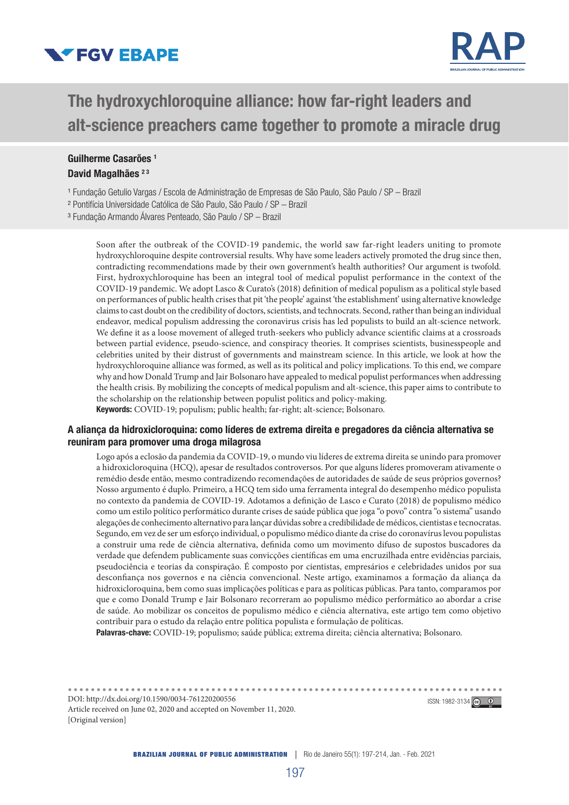



# The hydroxychloroquine alliance: how far-right leaders and alt-science preachers came together to promote a miracle drug

# Guilherme Casarões 1 David Magalhães<sup>23</sup>

<sup>1</sup> Fundação Getulio Vargas / Escola de Administração de Empresas de São Paulo, São Paulo / SP - Brazil

- ² Pontifícia Universidade Católica de São Paulo, São Paulo / SP Brazil
- ³ Fundação Armando Álvares Penteado, São Paulo / SP Brazil

Soon after the outbreak of the COVID-19 pandemic, the world saw far-right leaders uniting to promote hydroxychloroquine despite controversial results. Why have some leaders actively promoted the drug since then, contradicting recommendations made by their own government's health authorities? Our argument is twofold. First, hydroxychloroquine has been an integral tool of medical populist performance in the context of the COVID-19 pandemic. We adopt Lasco & Curato's (2018) definition of medical populism as a political style based on performances of public health crises that pit 'the people' against 'the establishment' using alternative knowledge claims to cast doubt on the credibility of doctors, scientists, and technocrats. Second, rather than being an individual endeavor, medical populism addressing the coronavirus crisis has led populists to build an alt-science network. We define it as a loose movement of alleged truth-seekers who publicly advance scientific claims at a crossroads between partial evidence, pseudo-science, and conspiracy theories. It comprises scientists, businesspeople and celebrities united by their distrust of governments and mainstream science. In this article, we look at how the hydroxychloroquine alliance was formed, as well as its political and policy implications. To this end, we compare why and how Donald Trump and Jair Bolsonaro have appealed to medical populist performances when addressing the health crisis. By mobilizing the concepts of medical populism and alt-science, this paper aims to contribute to the scholarship on the relationship between populist politics and policy-making. Keywords: COVID-19; populism; public health; far-right; alt-science; Bolsonaro.

#### A aliança da hidroxicloroquina: como líderes de extrema direita e pregadores da ciência alternativa se reuniram para promover uma droga milagrosa

Logo após a eclosão da pandemia da COVID-19, o mundo viu líderes de extrema direita se unindo para promover a hidroxicloroquina (HCQ), apesar de resultados controversos. Por que alguns líderes promoveram ativamente o remédio desde então, mesmo contradizendo recomendações de autoridades de saúde de seus próprios governos? Nosso argumento é duplo. Primeiro, a HCQ tem sido uma ferramenta integral do desempenho médico populista no contexto da pandemia de COVID-19. Adotamos a definição de Lasco e Curato (2018) de populismo médico como um estilo político performático durante crises de saúde pública que joga "o povo" contra "o sistema" usando alegações de conhecimento alternativo para lançar dúvidas sobre a credibilidade de médicos, cientistas e tecnocratas. Segundo, em vez de ser um esforço individual, o populismo médico diante da crise do coronavírus levou populistas a construir uma rede de ciência alternativa, definida como um movimento difuso de supostos buscadores da verdade que defendem publicamente suas convicções científicas em uma encruzilhada entre evidências parciais, pseudociência e teorias da conspiração. É composto por cientistas, empresários e celebridades unidos por sua desconfiança nos governos e na ciência convencional. Neste artigo, examinamos a formação da aliança da hidroxicloroquina, bem como suas implicações políticas e para as políticas públicas. Para tanto, comparamos por que e como Donald Trump e Jair Bolsonaro recorreram ao populismo médico performático ao abordar a crise de saúde. Ao mobilizar os conceitos de populismo médico e ciência alternativa, este artigo tem como objetivo contribuir para o estudo da relação entre política populista e formulação de políticas.

Palavras-chave: COVID-19; populismo; saúde pública; extrema direita; ciência alternativa; Bolsonaro.

DOI: http://dx.doi.org/10.1590/0034-761220200556 ISSN: 1982-3134 **C** 0 Article received on June 02, 2020 and accepted on November 11, 2020. [Original version]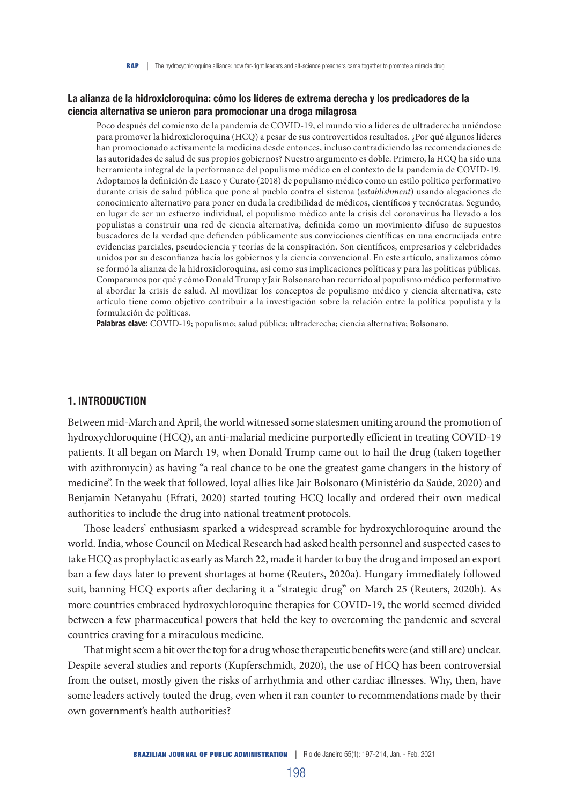#### La alianza de la hidroxicloroquina: cómo los líderes de extrema derecha y los predicadores de la ciencia alternativa se unieron para promocionar una droga milagrosa

Poco después del comienzo de la pandemia de COVID-19, el mundo vio a líderes de ultraderecha uniéndose para promover la hidroxicloroquina (HCQ) a pesar de sus controvertidos resultados. ¿Por qué algunos líderes han promocionado activamente la medicina desde entonces, incluso contradiciendo las recomendaciones de las autoridades de salud de sus propios gobiernos? Nuestro argumento es doble. Primero, la HCQ ha sido una herramienta integral de la performance del populismo médico en el contexto de la pandemia de COVID-19. Adoptamos la definición de Lasco y Curato (2018) de populismo médico como un estilo político performativo durante crisis de salud pública que pone al pueblo contra el sistema (*establishment*) usando alegaciones de conocimiento alternativo para poner en duda la credibilidad de médicos, científicos y tecnócratas. Segundo, en lugar de ser un esfuerzo individual, el populismo médico ante la crisis del coronavirus ha llevado a los populistas a construir una red de ciencia alternativa, definida como un movimiento difuso de supuestos buscadores de la verdad que defienden públicamente sus convicciones científicas en una encrucijada entre evidencias parciales, pseudociencia y teorías de la conspiración. Son científicos, empresarios y celebridades unidos por su desconfianza hacia los gobiernos y la ciencia convencional. En este artículo, analizamos cómo se formó la alianza de la hidroxicloroquina, así como sus implicaciones políticas y para las políticas públicas. Comparamos por qué y cómo Donald Trump y Jair Bolsonaro han recurrido al populismo médico performativo al abordar la crisis de salud. Al movilizar los conceptos de populismo médico y ciencia alternativa, este artículo tiene como objetivo contribuir a la investigación sobre la relación entre la política populista y la formulación de políticas.

Palabras clave: COVID-19; populismo; salud pública; ultraderecha; ciencia alternativa; Bolsonaro.

#### 1. INTRODUCTION

Between mid-March and April, the world witnessed some statesmen uniting around the promotion of hydroxychloroquine (HCQ), an anti-malarial medicine purportedly efficient in treating COVID-19 patients. It all began on March 19, when Donald Trump came out to hail the drug (taken together with azithromycin) as having "a real chance to be one the greatest game changers in the history of medicine". In the week that followed, loyal allies like Jair Bolsonaro (Ministério da Saúde, 2020) and Benjamin Netanyahu (Efrati, 2020) started touting HCQ locally and ordered their own medical authorities to include the drug into national treatment protocols.

Those leaders' enthusiasm sparked a widespread scramble for hydroxychloroquine around the world. India, whose Council on Medical Research had asked health personnel and suspected cases to take HCQ as prophylactic as early as March 22, made it harder to buy the drug and imposed an export ban a few days later to prevent shortages at home (Reuters, 2020a). Hungary immediately followed suit, banning HCQ exports after declaring it a "strategic drug" on March 25 (Reuters, 2020b). As more countries embraced hydroxychloroquine therapies for COVID-19, the world seemed divided between a few pharmaceutical powers that held the key to overcoming the pandemic and several countries craving for a miraculous medicine.

That might seem a bit over the top for a drug whose therapeutic benefits were (and still are) unclear. Despite several studies and reports (Kupferschmidt, 2020), the use of HCQ has been controversial from the outset, mostly given the risks of arrhythmia and other cardiac illnesses. Why, then, have some leaders actively touted the drug, even when it ran counter to recommendations made by their own government's health authorities?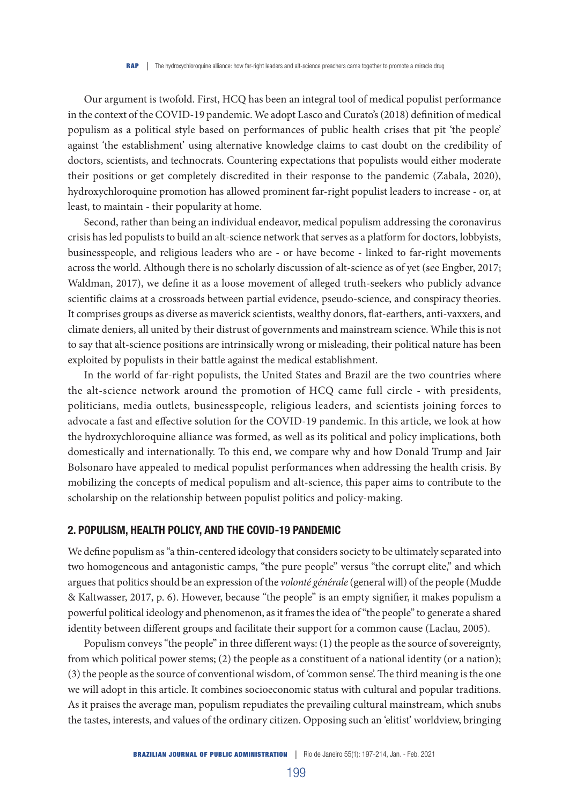Our argument is twofold. First, HCQ has been an integral tool of medical populist performance in the context of the COVID-19 pandemic. We adopt Lasco and Curato's (2018) definition of medical populism as a political style based on performances of public health crises that pit 'the people' against 'the establishment' using alternative knowledge claims to cast doubt on the credibility of doctors, scientists, and technocrats. Countering expectations that populists would either moderate their positions or get completely discredited in their response to the pandemic (Zabala, 2020), hydroxychloroquine promotion has allowed prominent far-right populist leaders to increase - or, at least, to maintain - their popularity at home.

Second, rather than being an individual endeavor, medical populism addressing the coronavirus crisis has led populists to build an alt-science network that serves as a platform for doctors, lobbyists, businesspeople, and religious leaders who are - or have become - linked to far-right movements across the world. Although there is no scholarly discussion of alt-science as of yet (see Engber, 2017; Waldman, 2017), we define it as a loose movement of alleged truth-seekers who publicly advance scientific claims at a crossroads between partial evidence, pseudo-science, and conspiracy theories. It comprises groups as diverse as maverick scientists, wealthy donors, flat-earthers, anti-vaxxers, and climate deniers, all united by their distrust of governments and mainstream science. While this is not to say that alt-science positions are intrinsically wrong or misleading, their political nature has been exploited by populists in their battle against the medical establishment.

In the world of far-right populists, the United States and Brazil are the two countries where the alt-science network around the promotion of HCQ came full circle - with presidents, politicians, media outlets, businesspeople, religious leaders, and scientists joining forces to advocate a fast and effective solution for the COVID-19 pandemic. In this article, we look at how the hydroxychloroquine alliance was formed, as well as its political and policy implications, both domestically and internationally. To this end, we compare why and how Donald Trump and Jair Bolsonaro have appealed to medical populist performances when addressing the health crisis. By mobilizing the concepts of medical populism and alt-science, this paper aims to contribute to the scholarship on the relationship between populist politics and policy-making.

# 2. POPULISM, HEALTH POLICY, AND THE COVID-19 PANDEMIC

We define populism as "a thin-centered ideology that considers society to be ultimately separated into two homogeneous and antagonistic camps, "the pure people" versus "the corrupt elite," and which argues that politics should be an expression of the *volonté générale* (general will) of the people (Mudde & Kaltwasser, 2017, p. 6). However, because "the people" is an empty signifier, it makes populism a powerful political ideology and phenomenon, as it frames the idea of "the people" to generate a shared identity between different groups and facilitate their support for a common cause (Laclau, 2005).

Populism conveys "the people" in three different ways: (1) the people as the source of sovereignty, from which political power stems; (2) the people as a constituent of a national identity (or a nation); (3) the people as the source of conventional wisdom, of 'common sense'. The third meaning is the one we will adopt in this article. It combines socioeconomic status with cultural and popular traditions. As it praises the average man, populism repudiates the prevailing cultural mainstream, which snubs the tastes, interests, and values of the ordinary citizen. Opposing such an 'elitist' worldview, bringing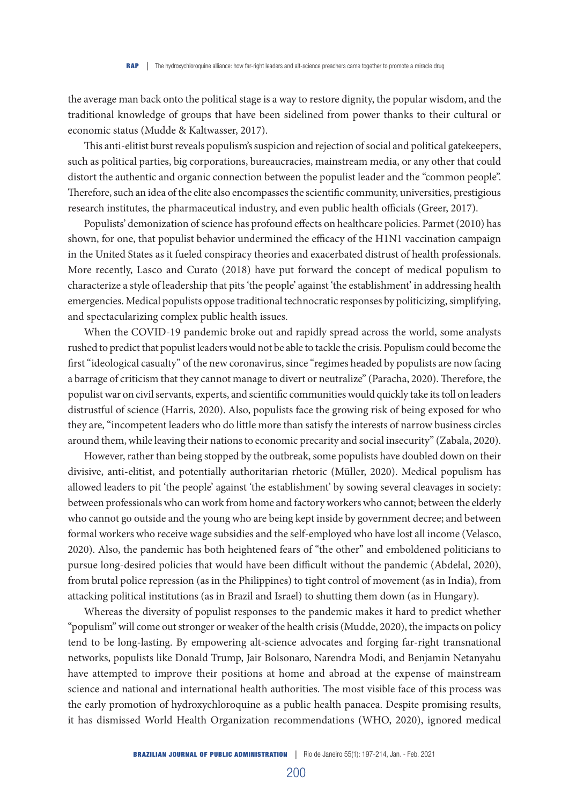the average man back onto the political stage is a way to restore dignity, the popular wisdom, and the traditional knowledge of groups that have been sidelined from power thanks to their cultural or economic status (Mudde & Kaltwasser, 2017).

This anti-elitist burst reveals populism's suspicion and rejection of social and political gatekeepers, such as political parties, big corporations, bureaucracies, mainstream media, or any other that could distort the authentic and organic connection between the populist leader and the "common people". Therefore, such an idea of the elite also encompasses the scientific community, universities, prestigious research institutes, the pharmaceutical industry, and even public health officials (Greer, 2017).

Populists' demonization of science has profound effects on healthcare policies. Parmet (2010) has shown, for one, that populist behavior undermined the efficacy of the H1N1 vaccination campaign in the United States as it fueled conspiracy theories and exacerbated distrust of health professionals. More recently, Lasco and Curato (2018) have put forward the concept of medical populism to characterize a style of leadership that pits 'the people' against 'the establishment' in addressing health emergencies. Medical populists oppose traditional technocratic responses by politicizing, simplifying, and spectacularizing complex public health issues.

When the COVID-19 pandemic broke out and rapidly spread across the world, some analysts rushed to predict that populist leaders would not be able to tackle the crisis. Populism could become the first "ideological casualty" of the new coronavirus, since "regimes headed by populists are now facing a barrage of criticism that they cannot manage to divert or neutralize" (Paracha, 2020). Therefore, the populist war on civil servants, experts, and scientific communities would quickly take its toll on leaders distrustful of science (Harris, 2020). Also, populists face the growing risk of being exposed for who they are, "incompetent leaders who do little more than satisfy the interests of narrow business circles around them, while leaving their nations to economic precarity and social insecurity" (Zabala, 2020).

However, rather than being stopped by the outbreak, some populists have doubled down on their divisive, anti-elitist, and potentially authoritarian rhetoric (Müller, 2020). Medical populism has allowed leaders to pit 'the people' against 'the establishment' by sowing several cleavages in society: between professionals who can work from home and factory workers who cannot; between the elderly who cannot go outside and the young who are being kept inside by government decree; and between formal workers who receive wage subsidies and the self-employed who have lost all income (Velasco, 2020). Also, the pandemic has both heightened fears of "the other" and emboldened politicians to pursue long-desired policies that would have been difficult without the pandemic (Abdelal, 2020), from brutal police repression (as in the Philippines) to tight control of movement (as in India), from attacking political institutions (as in Brazil and Israel) to shutting them down (as in Hungary).

Whereas the diversity of populist responses to the pandemic makes it hard to predict whether "populism" will come out stronger or weaker of the health crisis (Mudde, 2020), the impacts on policy tend to be long-lasting. By empowering alt-science advocates and forging far-right transnational networks, populists like Donald Trump, Jair Bolsonaro, Narendra Modi, and Benjamin Netanyahu have attempted to improve their positions at home and abroad at the expense of mainstream science and national and international health authorities. The most visible face of this process was the early promotion of hydroxychloroquine as a public health panacea. Despite promising results, it has dismissed World Health Organization recommendations (WHO, 2020), ignored medical

200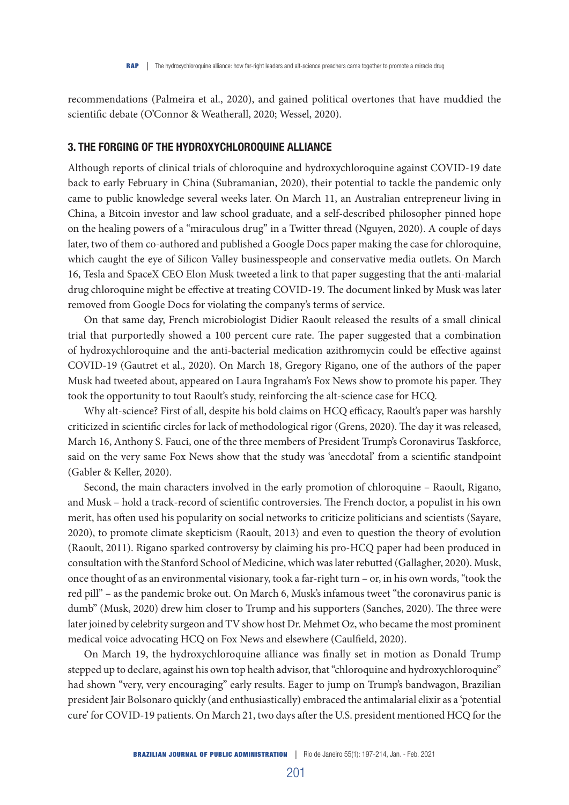recommendations (Palmeira et al., 2020), and gained political overtones that have muddied the scientific debate (O'Connor & Weatherall, 2020; Wessel, 2020).

### 3. THE FORGING OF THE HYDROXYCHLOROQUINE ALLIANCE

Although reports of clinical trials of chloroquine and hydroxychloroquine against COVID-19 date back to early February in China (Subramanian, 2020), their potential to tackle the pandemic only came to public knowledge several weeks later. On March 11, an Australian entrepreneur living in China, a Bitcoin investor and law school graduate, and a self-described philosopher pinned hope on the healing powers of a "miraculous drug" in a Twitter thread (Nguyen, 2020). A couple of days later, two of them co-authored and published a Google Docs paper making the case for chloroquine, which caught the eye of Silicon Valley businesspeople and conservative media outlets. On March 16, Tesla and SpaceX CEO Elon Musk tweeted a link to that paper suggesting that the anti-malarial drug chloroquine might be effective at treating COVID-19. The document linked by Musk was later removed from Google Docs for violating the company's terms of service.

On that same day, French microbiologist Didier Raoult released the results of a small clinical trial that purportedly showed a 100 percent cure rate. The paper suggested that a combination of hydroxychloroquine and the anti-bacterial medication azithromycin could be effective against COVID-19 (Gautret et al., 2020). On March 18, Gregory Rigano, one of the authors of the paper Musk had tweeted about, appeared on Laura Ingraham's Fox News show to promote his paper. They took the opportunity to tout Raoult's study, reinforcing the alt-science case for HCQ.

Why alt-science? First of all, despite his bold claims on HCQ efficacy, Raoult's paper was harshly criticized in scientific circles for lack of methodological rigor (Grens, 2020). The day it was released, March 16, Anthony S. Fauci, one of the three members of President Trump's Coronavirus Taskforce, said on the very same Fox News show that the study was 'anecdotal' from a scientific standpoint (Gabler & Keller, 2020).

Second, the main characters involved in the early promotion of chloroquine – Raoult, Rigano, and Musk – hold a track-record of scientific controversies. The French doctor, a populist in his own merit, has often used his popularity on social networks to criticize politicians and scientists (Sayare, 2020), to promote climate skepticism (Raoult, 2013) and even to question the theory of evolution (Raoult, 2011). Rigano sparked controversy by claiming his pro-HCQ paper had been produced in consultation with the Stanford School of Medicine, which was later rebutted (Gallagher, 2020). Musk, once thought of as an environmental visionary, took a far-right turn – or, in his own words, "took the red pill" – as the pandemic broke out. On March 6, Musk's infamous tweet "the coronavirus panic is dumb" (Musk, 2020) drew him closer to Trump and his supporters (Sanches, 2020). The three were later joined by celebrity surgeon and TV show host Dr. Mehmet Oz, who became the most prominent medical voice advocating HCQ on Fox News and elsewhere (Caulfield, 2020).

On March 19, the hydroxychloroquine alliance was finally set in motion as Donald Trump stepped up to declare, against his own top health advisor, that "chloroquine and hydroxychloroquine" had shown "very, very encouraging" early results. Eager to jump on Trump's bandwagon, Brazilian president Jair Bolsonaro quickly (and enthusiastically) embraced the antimalarial elixir as a 'potential cure' for COVID-19 patients. On March 21, two days after the U.S. president mentioned HCQ for the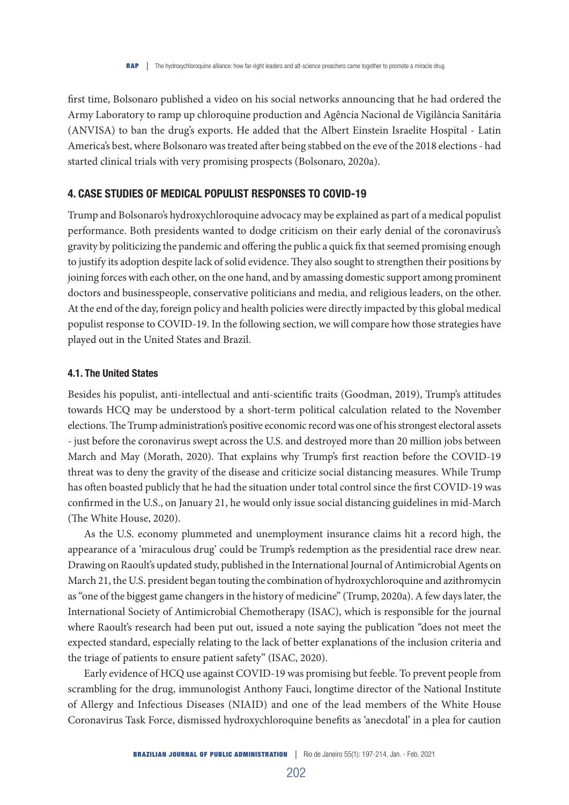# first time, Bolsonaro published a video on his social networks announcing that he had ordered the Army Laboratory to ramp up chloroquine production and Agência Nacional de Vigilância Sanitária (ANVISA) to ban the drug's exports. He added that the Albert Einstein Israelite Hospital - Latin America's best, where Bolsonaro was treated after being stabbed on the eve of the 2018 elections - had started clinical trials with very promising prospects (Bolsonaro, 2020a).

# 4. CASE STUDIES OF MEDICAL POPULIST RESPONSES TO COVID-19

Trump and Bolsonaro's hydroxychloroquine advocacy may be explained as part of a medical populist performance. Both presidents wanted to dodge criticism on their early denial of the coronavirus's gravity by politicizing the pandemic and offering the public a quick fix that seemed promising enough to justify its adoption despite lack of solid evidence. They also sought to strengthen their positions by joining forces with each other, on the one hand, and by amassing domestic support among prominent doctors and businesspeople, conservative politicians and media, and religious leaders, on the other. At the end of the day, foreign policy and health policies were directly impacted by this global medical populist response to COVID-19. In the following section, we will compare how those strategies have played out in the United States and Brazil.

#### 4.1. The United States

Besides his populist, anti-intellectual and anti-scientific traits (Goodman, 2019), Trump's attitudes towards HCQ may be understood by a short-term political calculation related to the November elections. The Trump administration's positive economic record was one of his strongest electoral assets - just before the coronavirus swept across the U.S. and destroyed more than 20 million jobs between March and May (Morath, 2020). That explains why Trump's first reaction before the COVID-19 threat was to deny the gravity of the disease and criticize social distancing measures. While Trump has often boasted publicly that he had the situation under total control since the first COVID-19 was confirmed in the U.S., on January 21, he would only issue social distancing guidelines in mid-March (The White House, 2020).

As the U.S. economy plummeted and unemployment insurance claims hit a record high, the appearance of a 'miraculous drug' could be Trump's redemption as the presidential race drew near. Drawing on Raoult's updated study, published in the International Journal of Antimicrobial Agents on March 21, the U.S. president began touting the combination of hydroxychloroquine and azithromycin as "one of the biggest game changers in the history of medicine" (Trump, 2020a). A few days later, the International Society of Antimicrobial Chemotherapy (ISAC), which is responsible for the journal where Raoult's research had been put out, issued a note saying the publication "does not meet the expected standard, especially relating to the lack of better explanations of the inclusion criteria and the triage of patients to ensure patient safety" (ISAC, 2020).

Early evidence of HCQ use against COVID-19 was promising but feeble. To prevent people from scrambling for the drug, immunologist Anthony Fauci, longtime director of the National Institute of Allergy and Infectious Diseases (NIAID) and one of the lead members of the White House Coronavirus Task Force, dismissed hydroxychloroquine benefits as 'anecdotal' in a plea for caution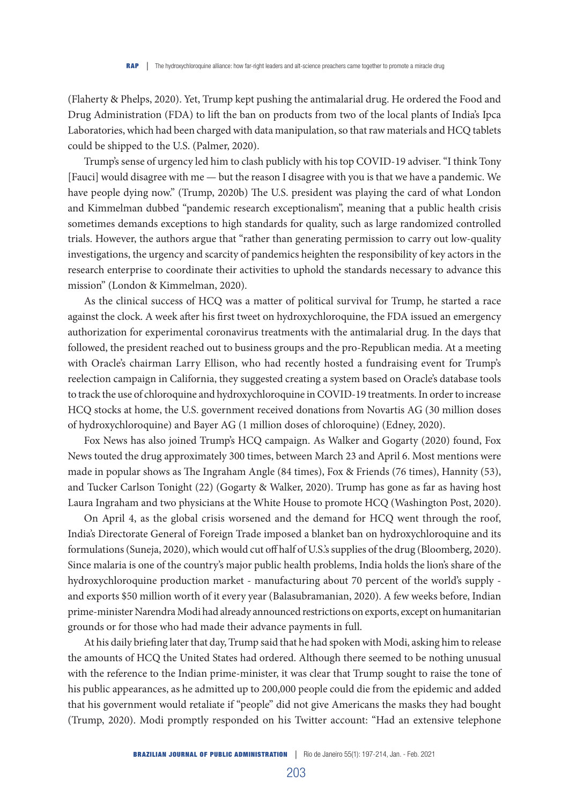(Flaherty & Phelps, 2020). Yet, Trump kept pushing the antimalarial drug. He ordered the Food and Drug Administration (FDA) to lift the ban on products from two of the local plants of India's Ipca Laboratories, which had been charged with data manipulation, so that raw materials and HCQ tablets could be shipped to the U.S. (Palmer, 2020).

Trump's sense of urgency led him to clash publicly with his top COVID-19 adviser. "I think Tony [Fauci] would disagree with me — but the reason I disagree with you is that we have a pandemic. We have people dying now." (Trump, 2020b) The U.S. president was playing the card of what London and Kimmelman dubbed "pandemic research exceptionalism", meaning that a public health crisis sometimes demands exceptions to high standards for quality, such as large randomized controlled trials. However, the authors argue that "rather than generating permission to carry out low-quality investigations, the urgency and scarcity of pandemics heighten the responsibility of key actors in the research enterprise to coordinate their activities to uphold the standards necessary to advance this mission" (London & Kimmelman, 2020).

As the clinical success of HCQ was a matter of political survival for Trump, he started a race against the clock. A week after his first tweet on hydroxychloroquine, the FDA issued an emergency authorization for experimental coronavirus treatments with the antimalarial drug. In the days that followed, the president reached out to business groups and the pro-Republican media. At a meeting with Oracle's chairman Larry Ellison, who had recently hosted a fundraising event for Trump's reelection campaign in California, they suggested creating a system based on Oracle's database tools to track the use of chloroquine and hydroxychloroquine in COVID-19 treatments. In order to increase HCQ stocks at home, the U.S. government received donations from Novartis AG (30 million doses of hydroxychloroquine) and Bayer AG (1 million doses of chloroquine) (Edney, 2020).

Fox News has also joined Trump's HCQ campaign. As Walker and Gogarty (2020) found, Fox News touted the drug approximately 300 times, between March 23 and April 6. Most mentions were made in popular shows as The Ingraham Angle (84 times), Fox & Friends (76 times), Hannity (53), and Tucker Carlson Tonight (22) (Gogarty & Walker, 2020). Trump has gone as far as having host Laura Ingraham and two physicians at the White House to promote HCQ (Washington Post, 2020).

On April 4, as the global crisis worsened and the demand for HCQ went through the roof, India's Directorate General of Foreign Trade imposed a blanket ban on hydroxychloroquine and its formulations (Suneja, 2020), which would cut off half of U.S.'s supplies of the drug (Bloomberg, 2020). Since malaria is one of the country's major public health problems, India holds the lion's share of the hydroxychloroquine production market - manufacturing about 70 percent of the world's supply and exports \$50 million worth of it every year (Balasubramanian, 2020). A few weeks before, Indian prime-minister Narendra Modi had already announced restrictions on exports, except on humanitarian grounds or for those who had made their advance payments in full.

At his daily briefing later that day, Trump said that he had spoken with Modi, asking him to release the amounts of HCQ the United States had ordered. Although there seemed to be nothing unusual with the reference to the Indian prime-minister, it was clear that Trump sought to raise the tone of his public appearances, as he admitted up to 200,000 people could die from the epidemic and added that his government would retaliate if "people" did not give Americans the masks they had bought (Trump, 2020). Modi promptly responded on his Twitter account: "Had an extensive telephone

203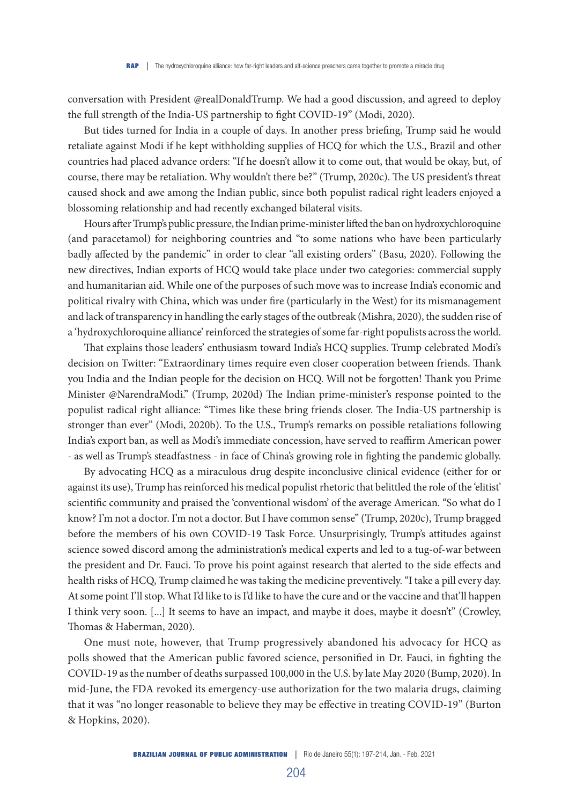conversation with President @realDonaldTrump. We had a good discussion, and agreed to deploy the full strength of the India-US partnership to fight COVID-19" (Modi, 2020).

But tides turned for India in a couple of days. In another press briefing, Trump said he would retaliate against Modi if he kept withholding supplies of HCQ for which the U.S., Brazil and other countries had placed advance orders: "If he doesn't allow it to come out, that would be okay, but, of course, there may be retaliation. Why wouldn't there be?" (Trump, 2020c). The US president's threat caused shock and awe among the Indian public, since both populist radical right leaders enjoyed a blossoming relationship and had recently exchanged bilateral visits.

Hours after Trump's public pressure, the Indian prime-minister lifted the ban on hydroxychloroquine (and paracetamol) for neighboring countries and "to some nations who have been particularly badly affected by the pandemic" in order to clear "all existing orders" (Basu, 2020). Following the new directives, Indian exports of HCQ would take place under two categories: commercial supply and humanitarian aid. While one of the purposes of such move was to increase India's economic and political rivalry with China, which was under fire (particularly in the West) for its mismanagement and lack of transparency in handling the early stages of the outbreak (Mishra, 2020), the sudden rise of a 'hydroxychloroquine alliance' reinforced the strategies of some far-right populists across the world.

That explains those leaders' enthusiasm toward India's HCQ supplies. Trump celebrated Modi's decision on Twitter: "Extraordinary times require even closer cooperation between friends. Thank you India and the Indian people for the decision on HCQ. Will not be forgotten! Thank you Prime Minister @NarendraModi." (Trump, 2020d) The Indian prime-minister's response pointed to the populist radical right alliance: "Times like these bring friends closer. The India-US partnership is stronger than ever" (Modi, 2020b). To the U.S., Trump's remarks on possible retaliations following India's export ban, as well as Modi's immediate concession, have served to reaffirm American power - as well as Trump's steadfastness - in face of China's growing role in fighting the pandemic globally.

By advocating HCQ as a miraculous drug despite inconclusive clinical evidence (either for or against its use), Trump has reinforced his medical populist rhetoric that belittled the role of the 'elitist' scientific community and praised the 'conventional wisdom' of the average American. "So what do I know? I'm not a doctor. I'm not a doctor. But I have common sense" (Trump, 2020c), Trump bragged before the members of his own COVID-19 Task Force. Unsurprisingly, Trump's attitudes against science sowed discord among the administration's medical experts and led to a tug-of-war between the president and Dr. Fauci. To prove his point against research that alerted to the side effects and health risks of HCQ, Trump claimed he was taking the medicine preventively. "I take a pill every day. At some point I'll stop. What I'd like to is I'd like to have the cure and or the vaccine and that'll happen I think very soon. [...] It seems to have an impact, and maybe it does, maybe it doesn't" (Crowley, Thomas & Haberman, 2020).

One must note, however, that Trump progressively abandoned his advocacy for HCQ as polls showed that the American public favored science, personified in Dr. Fauci, in fighting the COVID-19 as the number of deaths surpassed 100,000 in the U.S. by late May 2020 (Bump, 2020). In mid-June, the FDA revoked its emergency-use authorization for the two malaria drugs, claiming that it was "no longer reasonable to believe they may be effective in treating COVID-19" (Burton & Hopkins, 2020).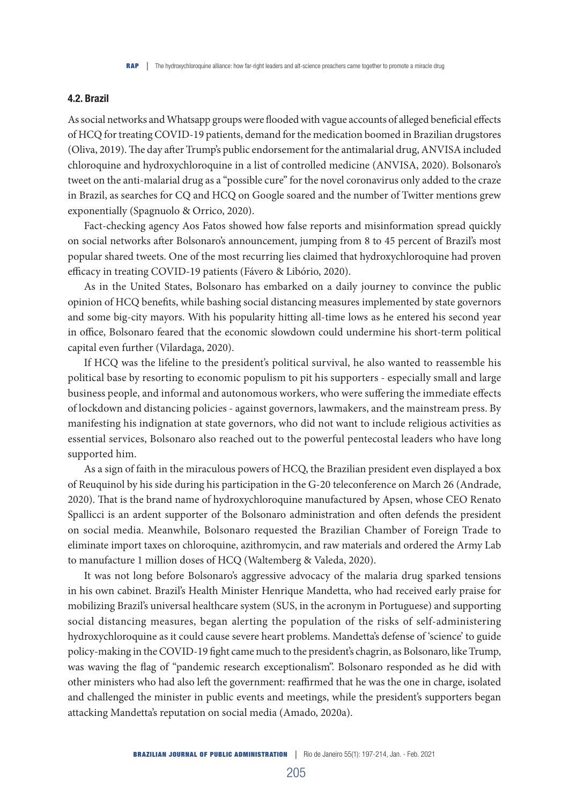#### 4.2. Brazil

As social networks and Whatsapp groups were flooded with vague accounts of alleged beneficial effects of HCQ for treating COVID-19 patients, demand for the medication boomed in Brazilian drugstores (Oliva, 2019). The day after Trump's public endorsement for the antimalarial drug, ANVISA included chloroquine and hydroxychloroquine in a list of controlled medicine (ANVISA, 2020). Bolsonaro's tweet on the anti-malarial drug as a "possible cure" for the novel coronavirus only added to the craze in Brazil, as searches for CQ and HCQ on Google soared and the number of Twitter mentions grew exponentially (Spagnuolo & Orrico, 2020).

Fact-checking agency Aos Fatos showed how false reports and misinformation spread quickly on social networks after Bolsonaro's announcement, jumping from 8 to 45 percent of Brazil's most popular shared tweets. One of the most recurring lies claimed that hydroxychloroquine had proven efficacy in treating COVID-19 patients (Fávero & Libório, 2020).

As in the United States, Bolsonaro has embarked on a daily journey to convince the public opinion of HCQ benefits, while bashing social distancing measures implemented by state governors and some big-city mayors. With his popularity hitting all-time lows as he entered his second year in office, Bolsonaro feared that the economic slowdown could undermine his short-term political capital even further (Vilardaga, 2020).

If HCQ was the lifeline to the president's political survival, he also wanted to reassemble his political base by resorting to economic populism to pit his supporters - especially small and large business people, and informal and autonomous workers, who were suffering the immediate effects of lockdown and distancing policies - against governors, lawmakers, and the mainstream press. By manifesting his indignation at state governors, who did not want to include religious activities as essential services, Bolsonaro also reached out to the powerful pentecostal leaders who have long supported him.

As a sign of faith in the miraculous powers of HCQ, the Brazilian president even displayed a box of Reuquinol by his side during his participation in the G-20 teleconference on March 26 (Andrade, 2020). That is the brand name of hydroxychloroquine manufactured by Apsen, whose CEO Renato Spallicci is an ardent supporter of the Bolsonaro administration and often defends the president on social media. Meanwhile, Bolsonaro requested the Brazilian Chamber of Foreign Trade to eliminate import taxes on chloroquine, azithromycin, and raw materials and ordered the Army Lab to manufacture 1 million doses of HCQ (Waltemberg & Valeda, 2020).

It was not long before Bolsonaro's aggressive advocacy of the malaria drug sparked tensions in his own cabinet. Brazil's Health Minister Henrique Mandetta, who had received early praise for mobilizing Brazil's universal healthcare system (SUS, in the acronym in Portuguese) and supporting social distancing measures, began alerting the population of the risks of self-administering hydroxychloroquine as it could cause severe heart problems. Mandetta's defense of 'science' to guide policy-making in the COVID-19 fight came much to the president's chagrin, as Bolsonaro, like Trump, was waving the flag of "pandemic research exceptionalism". Bolsonaro responded as he did with other ministers who had also left the government: reaffirmed that he was the one in charge, isolated and challenged the minister in public events and meetings, while the president's supporters began attacking Mandetta's reputation on social media (Amado, 2020a).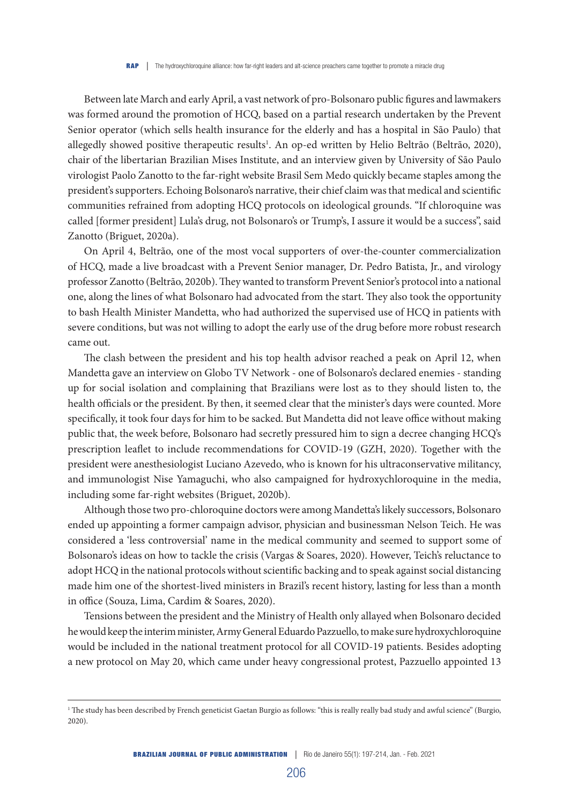Between late March and early April, a vast network of pro-Bolsonaro public figures and lawmakers was formed around the promotion of HCQ, based on a partial research undertaken by the Prevent Senior operator (which sells health insurance for the elderly and has a hospital in São Paulo) that allegedly showed positive therapeutic results<sup>1</sup>. An op-ed written by Helio Beltrão (Beltrão, 2020), chair of the libertarian Brazilian Mises Institute, and an interview given by University of São Paulo virologist Paolo Zanotto to the far-right website Brasil Sem Medo quickly became staples among the president's supporters. Echoing Bolsonaro's narrative, their chief claim was that medical and scientific communities refrained from adopting HCQ protocols on ideological grounds. "If chloroquine was called [former president] Lula's drug, not Bolsonaro's or Trump's, I assure it would be a success", said Zanotto (Briguet, 2020a).

On April 4, Beltrão, one of the most vocal supporters of over-the-counter commercialization of HCQ, made a live broadcast with a Prevent Senior manager, Dr. Pedro Batista, Jr., and virology professor Zanotto (Beltrão, 2020b). They wanted to transform Prevent Senior's protocol into a national one, along the lines of what Bolsonaro had advocated from the start. They also took the opportunity to bash Health Minister Mandetta, who had authorized the supervised use of HCQ in patients with severe conditions, but was not willing to adopt the early use of the drug before more robust research came out.

The clash between the president and his top health advisor reached a peak on April 12, when Mandetta gave an interview on Globo TV Network - one of Bolsonaro's declared enemies - standing up for social isolation and complaining that Brazilians were lost as to they should listen to, the health officials or the president. By then, it seemed clear that the minister's days were counted. More specifically, it took four days for him to be sacked. But Mandetta did not leave office without making public that, the week before, Bolsonaro had secretly pressured him to sign a decree changing HCQ's prescription leaflet to include recommendations for COVID-19 (GZH, 2020). Together with the president were anesthesiologist Luciano Azevedo, who is known for his ultraconservative militancy, and immunologist Nise Yamaguchi, who also campaigned for hydroxychloroquine in the media, including some far-right websites (Briguet, 2020b).

Although those two pro-chloroquine doctors were among Mandetta's likely successors, Bolsonaro ended up appointing a former campaign advisor, physician and businessman Nelson Teich. He was considered a 'less controversial' name in the medical community and seemed to support some of Bolsonaro's ideas on how to tackle the crisis (Vargas & Soares, 2020). However, Teich's reluctance to adopt HCQ in the national protocols without scientific backing and to speak against social distancing made him one of the shortest-lived ministers in Brazil's recent history, lasting for less than a month in office (Souza, Lima, Cardim & Soares, 2020).

Tensions between the president and the Ministry of Health only allayed when Bolsonaro decided he would keep the interim minister, Army General Eduardo Pazzuello, to make sure hydroxychloroquine would be included in the national treatment protocol for all COVID-19 patients. Besides adopting a new protocol on May 20, which came under heavy congressional protest, Pazzuello appointed 13

<sup>&</sup>lt;sup>1</sup> The study has been described by French geneticist Gaetan Burgio as follows: "this is really really bad study and awful science" (Burgio, 2020).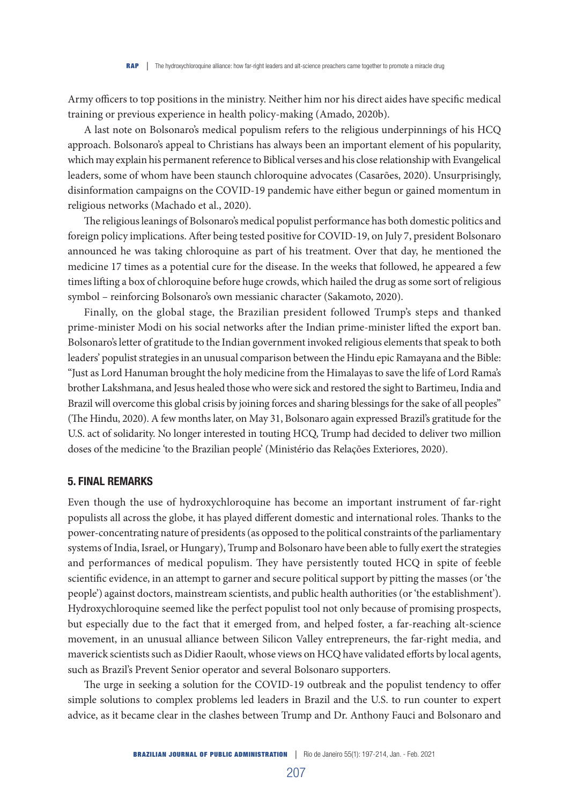Army officers to top positions in the ministry. Neither him nor his direct aides have specific medical training or previous experience in health policy-making (Amado, 2020b).

A last note on Bolsonaro's medical populism refers to the religious underpinnings of his HCQ approach. Bolsonaro's appeal to Christians has always been an important element of his popularity, which may explain his permanent reference to Biblical verses and his close relationship with Evangelical leaders, some of whom have been staunch chloroquine advocates (Casarões, 2020). Unsurprisingly, disinformation campaigns on the COVID-19 pandemic have either begun or gained momentum in religious networks (Machado et al., 2020).

The religious leanings of Bolsonaro's medical populist performance has both domestic politics and foreign policy implications. After being tested positive for COVID-19, on July 7, president Bolsonaro announced he was taking chloroquine as part of his treatment. Over that day, he mentioned the medicine 17 times as a potential cure for the disease. In the weeks that followed, he appeared a few times lifting a box of chloroquine before huge crowds, which hailed the drug as some sort of religious symbol – reinforcing Bolsonaro's own messianic character (Sakamoto, 2020).

Finally, on the global stage, the Brazilian president followed Trump's steps and thanked prime-minister Modi on his social networks after the Indian prime-minister lifted the export ban. Bolsonaro's letter of gratitude to the Indian government invoked religious elements that speak to both leaders' populist strategies in an unusual comparison between the Hindu epic Ramayana and the Bible: "Just as Lord Hanuman brought the holy medicine from the Himalayas to save the life of Lord Rama's brother Lakshmana, and Jesus healed those who were sick and restored the sight to Bartimeu, India and Brazil will overcome this global crisis by joining forces and sharing blessings for the sake of all peoples" (The Hindu, 2020). A few months later, on May 31, Bolsonaro again expressed Brazil's gratitude for the U.S. act of solidarity. No longer interested in touting HCQ, Trump had decided to deliver two million doses of the medicine 'to the Brazilian people' (Ministério das Relações Exteriores, 2020).

#### 5. FINAL REMARKS

Even though the use of hydroxychloroquine has become an important instrument of far-right populists all across the globe, it has played different domestic and international roles. Thanks to the power-concentrating nature of presidents (as opposed to the political constraints of the parliamentary systems of India, Israel, or Hungary), Trump and Bolsonaro have been able to fully exert the strategies and performances of medical populism. They have persistently touted HCQ in spite of feeble scientific evidence, in an attempt to garner and secure political support by pitting the masses (or 'the people') against doctors, mainstream scientists, and public health authorities (or 'the establishment'). Hydroxychloroquine seemed like the perfect populist tool not only because of promising prospects, but especially due to the fact that it emerged from, and helped foster, a far-reaching alt-science movement, in an unusual alliance between Silicon Valley entrepreneurs, the far-right media, and maverick scientists such as Didier Raoult, whose views on HCQ have validated efforts by local agents, such as Brazil's Prevent Senior operator and several Bolsonaro supporters.

The urge in seeking a solution for the COVID-19 outbreak and the populist tendency to offer simple solutions to complex problems led leaders in Brazil and the U.S. to run counter to expert advice, as it became clear in the clashes between Trump and Dr. Anthony Fauci and Bolsonaro and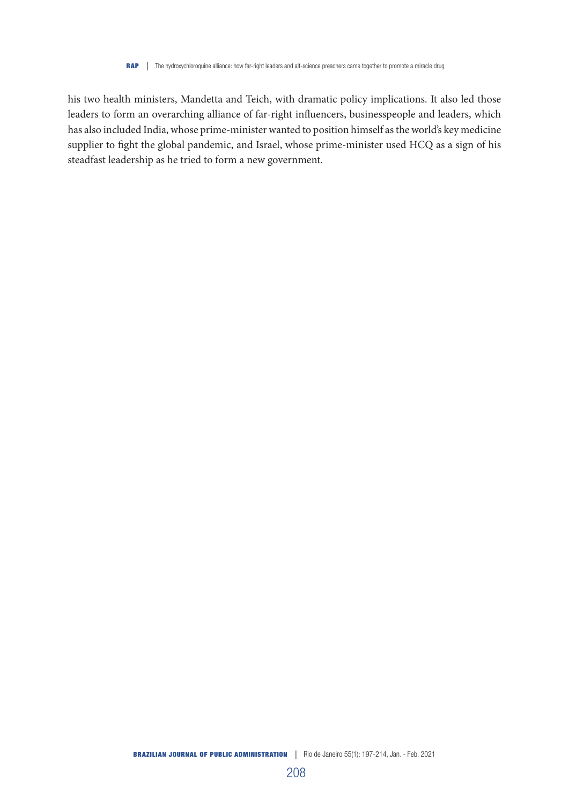his two health ministers, Mandetta and Teich, with dramatic policy implications. It also led those leaders to form an overarching alliance of far-right influencers, businesspeople and leaders, which has also included India, whose prime-minister wanted to position himself as the world's key medicine supplier to fight the global pandemic, and Israel, whose prime-minister used HCQ as a sign of his steadfast leadership as he tried to form a new government.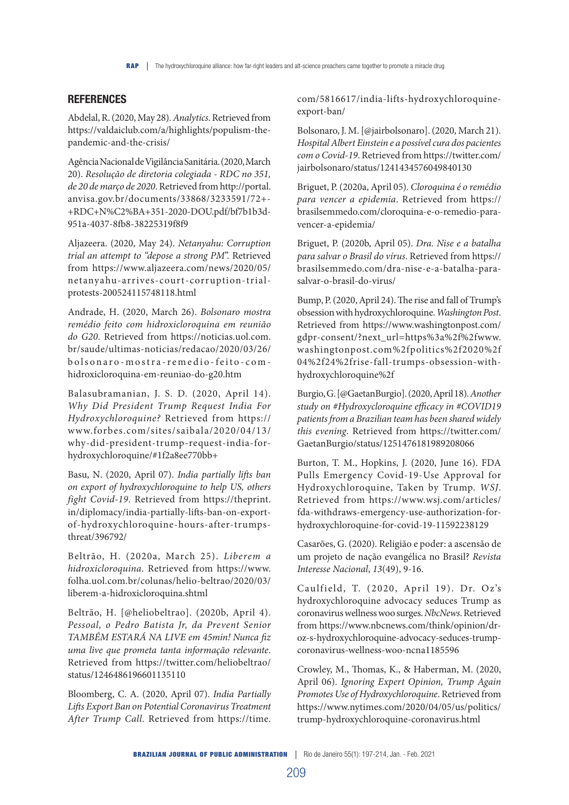# **REFERENCES**

Abdelal, R. (2020, May 28). *Analytics*. Retrieved from https://valdaiclub.com/a/highlights/populism-thepandemic-and-the-crisis/

Agência Nacional de Vigilância Sanitária. (2020, March 20). *Resolução de diretoria colegiada - RDC no 351, de 20 de março de 2020*. Retrieved from http://portal. anvisa.gov.br/documents/33868/3233591/72+- +RDC+N%C2%BA+351-2020-DOU.pdf/bf7b1b3d-951a-4037-8fb8-38225319f8f9

Aljazeera. (2020, May 24). *Netanyahu: Corruption trial an attempt to "depose a strong PM*". Retrieved from https://www.aljazeera.com/news/2020/05/ netanyahu-arrives-court-corruption-trialprotests-200524115748118.html

Andrade, H. (2020, March 26). *Bolsonaro mostra remédio feito com hidroxicloroquina em reunião do G20*. Retrieved from https://noticias.uol.com. br/saude/ultimas-noticias/redacao/2020/03/26/ bolsonaro-mostra-remedio-feito-comhidroxicloroquina-em-reuniao-do-g20.htm

Balasubramanian, J. S. D. (2020, April 14). *Why Did President Trump Request India For Hydroxychloroquine?* Retrieved from https:// www.forbes.com/sites/saibala/2020/04/13/ why-did-president-trump-request-india-forhydroxychloroquine/#1f2a8ee770bb+

Basu, N. (2020, April 07). *India partially lifts ban on export of hydroxychloroquine to help US, others fight Covid-19*. Retrieved from https://theprint. in/diplomacy/india-partially-lifts-ban-on-exportof-hydroxychloroquine-hours-after-trumpsthreat/396792/

Beltrão, H. (2020a, March 25). *Liberem a hidroxicloroquina*. Retrieved from https://www. folha.uol.com.br/colunas/helio-beltrao/2020/03/ liberem-a-hidroxicloroquina.shtml

Beltrão, H. [@heliobeltrao]. (2020b, April 4). *Pessoal, o Pedro Batista Jr, da Prevent Senior TAMBÉM ESTARÁ NA LIVE em 45min! Nunca fiz uma live que prometa tanta informação relevante*. Retrieved from https://twitter.com/heliobeltrao/ status/1246486196601135110

Bloomberg, C. A. (2020, April 07). *India Partially Lifts Export Ban on Potential Coronavirus Treatment After Trump Call*. Retrieved from https://time.

com/5816617/india-lifts-hydroxychloroquineexport-ban/

Bolsonaro, J. M. [@jairbolsonaro]. (2020, March 21). *Hospital Albert Einstein e a possível cura dos pacientes com o Covid-19*. Retrieved from https://twitter.com/ jairbolsonaro/status/1241434576049840130

Briguet, P. (2020a, April 05). *Cloroquina é o remédio para vencer a epidemia*. Retrieved from https:// brasilsemmedo.com/cloroquina-e-o-remedio-paravencer-a-epidemia/

Briguet, P. (2020b, April 05). *Dra. Nise e a batalha para salvar o Brasil do vírus*. Retrieved from https:// brasilsemmedo.com/dra-nise-e-a-batalha-parasalvar-o-brasil-do-virus/

Bump, P. (2020, April 24). The rise and fall of Trump's obsession with hydroxychloroquine. *Washington Post*. Retrieved from https://www.washingtonpost.com/ gdpr-consent/?next\_url=https%3a%2f%2fwww. washingtonpost.com%2fpolitics%2f2020%2f 04%2f24%2frise-fall-trumps-obsession-withhydroxychloroquine%2f

Burgio, G. [@GaetanBurgio]. (2020, April 18). *Another study on #Hydroxycloroquine efficacy in #COVID19 patients from a Brazilian team has been shared widely this evening*. Retrieved from https://twitter.com/ GaetanBurgio/status/1251476181989208066

Burton, T. M., Hopkins, J. (2020, June 16). FDA Pulls Emergency Covid-19-Use Approval for Hydroxychloroquine, Taken by Trump. *WSJ*. Retrieved from https://www.wsj.com/articles/ fda-withdraws-emergency-use-authorization-forhydroxychloroquine-for-covid-19-11592238129

Casarões, G. (2020). Religião e poder: a ascensão de um projeto de nação evangélica no Brasil? *Revista Interesse Nacional*, *13*(49), 9-16.

Caulfield, T. (2020, April 19). Dr. Oz's hydroxychloroquine advocacy seduces Trump as coronavirus wellness woo surges. *NbcNews*. Retrieved from https://www.nbcnews.com/think/opinion/droz-s-hydroxychloroquine-advocacy-seduces-trumpcoronavirus-wellness-woo-ncna1185596

Crowley, M., Thomas, K., & Haberman, M. (2020, April 06). *Ignoring Expert Opinion, Trump Again Promotes Use of Hydroxychloroquine*. Retrieved from https://www.nytimes.com/2020/04/05/us/politics/ trump-hydroxychloroquine-coronavirus.html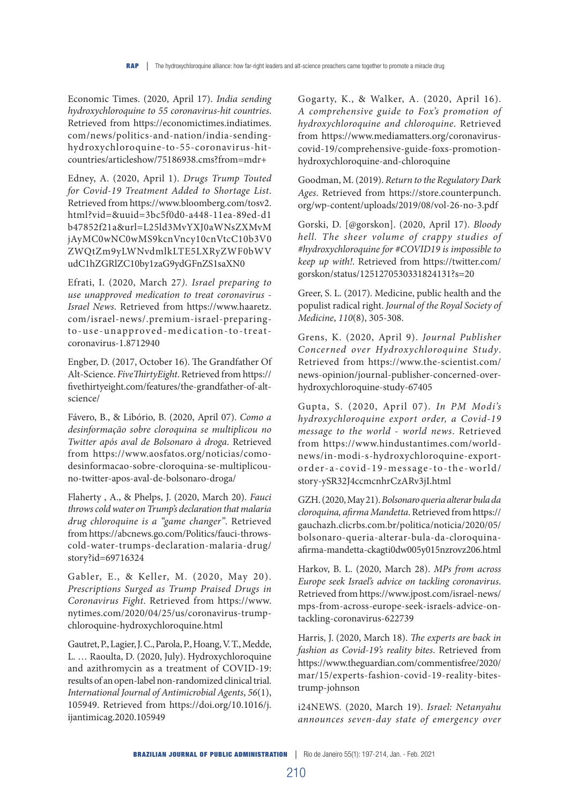Economic Times. (2020, April 17). *India sending hydroxychloroquine to 55 coronavirus-hit countries*. Retrieved from https://economictimes.indiatimes. com/news/politics-and-nation/india-sendinghydroxychloroquine-to-55-coronavirus-hitcountries/articleshow/75186938.cms?from=mdr+

Edney, A. (2020, April 1). *Drugs Trump Touted for Covid-19 Treatment Added to Shortage List*. Retrieved from https://www.bloomberg.com/tosv2. html?vid=&uuid=3bc5f0d0-a448-11ea-89ed-d1 b47852f21a&url=L25ld3MvYXJ0aWNsZXMvM jAyMC0wNC0wMS9kcnVncy10cnVtcC10b3V0 ZWQtZm9yLWNvdmlkLTE5LXRyZWF0bWV udC1hZGRlZC10by1zaG9ydGFnZS1saXN0

Efrati, I. (2020, March 27*). Israel preparing to use unapproved medication to treat coronavirus - Israel News*. Retrieved from https://www.haaretz. com/israel-news/.premium-israel-preparingto-use-unapproved-medication-to-treatcoronavirus-1.8712940

Engber, D. (2017, October 16). The Grandfather Of Alt-Science. *FiveThirtyEight*. Retrieved from https:// fivethirtyeight.com/features/the-grandfather-of-altscience/

Fávero, B., & Libório, B. (2020, April 07). *Como a desinformação sobre cloroquina se multiplicou no Twitter após aval de Bolsonaro à droga*. Retrieved from https://www.aosfatos.org/noticias/comodesinformacao-sobre-cloroquina-se-multiplicouno-twitter-apos-aval-de-bolsonaro-droga/

Flaherty , A., & Phelps, J. (2020, March 20). *Fauci throws cold water on Trump's declaration that malaria drug chloroquine is a "game changer"*. Retrieved from https://abcnews.go.com/Politics/fauci-throwscold-water-trumps-declaration-malaria-drug/ story?id=69716324

Gabler, E., & Keller, M. (2020, May 20). *Prescriptions Surged as Trump Praised Drugs in Coronavirus Fight*. Retrieved from https://www. nytimes.com/2020/04/25/us/coronavirus-trumpchloroquine-hydroxychloroquine.html

Gautret, P., Lagier, J. C., Parola, P., Hoang, V. T., Medde, L. … Raoulta, D. (2020, July). Hydroxychloroquine and azithromycin as a treatment of COVID‐19: results of an open‐label non‐randomized clinical trial. *International Journal of Antimicrobial Agents*, *56*(1), 105949. Retrieved from https://doi.org/10.1016/j. ijantimicag.2020.105949

Gogarty, K., & Walker, A. (2020, April 16). *A comprehensive guide to Fox's promotion of hydroxychloroquine and chloroquine*. Retrieved from https://www.mediamatters.org/coronaviruscovid-19/comprehensive-guide-foxs-promotionhydroxychloroquine-and-chloroquine

Goodman, M. (2019). *Return to the Regulatory Dark Ages*. Retrieved from https://store.counterpunch. org/wp-content/uploads/2019/08/vol-26-no-3.pdf

Gorski, D. [@gorskon]. (2020, April 17). *Bloody hell. The sheer volume of crappy studies of #hydroxychloroquine for #COVID19 is impossible to keep up with!*. Retrieved from https://twitter.com/ gorskon/status/1251270530331824131?s=20

Greer, S. L. (2017). Medicine, public health and the populist radical right. *Journal of the Royal Society of Medicine*, *110*(8), 305-308.

Grens, K. (2020, April 9). *Journal Publisher Concerned over Hydroxychloroquine Study*. Retrieved from https://www.the-scientist.com/ news-opinion/journal-publisher-concerned-overhydroxychloroquine-study-67405

Gupta, S. (2020, April 07). *In PM Modi's hydroxychloroquine export order, a Covid-19 message to the world - world news*. Retrieved from https://www.hindustantimes.com/worldnews/in-modi-s-hydroxychloroquine-exportorder-a-covid-19-message-to-the-world/ story-ySR32J4ccmcnhrCzARv3jI.html

GZH. (2020, May 21). *Bolsonaro queria alterar bula da cloroquina, afirma Mandetta*. Retrieved from https:// gauchazh.clicrbs.com.br/politica/noticia/2020/05/ bolsonaro-queria-alterar-bula-da-cloroquinaafirma-mandetta-ckagti0dw005y015nzrovz206.html

Harkov, B. L. (2020, March 28). *MPs from across Europe seek Israel's advice on tackling coronavirus*. Retrieved from https://www.jpost.com/israel-news/ mps-from-across-europe-seek-israels-advice-ontackling-coronavirus-622739

Harris, J. (2020, March 18). *The experts are back in fashion as Covid-19's reality bites*. Retrieved from https://www.theguardian.com/commentisfree/2020/ mar/15/experts-fashion-covid-19-reality-bitestrump-johnson

i24NEWS. (2020, March 19). *Israel: Netanyahu announces seven-day state of emergency over*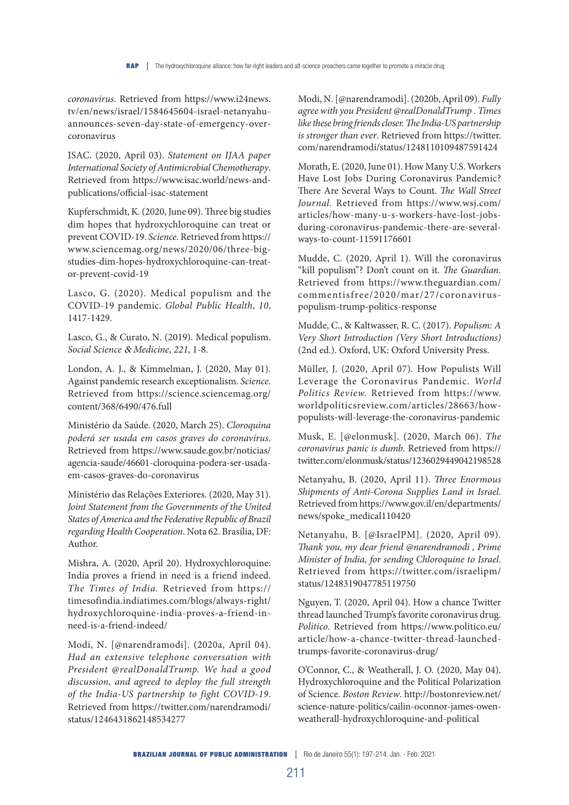*coronavirus*. Retrieved from https://www.i24news. tv/en/news/israel/1584645604-israel-netanyahuannounces-seven-day-state-of-emergency-overcoronavirus

ISAC. (2020, April 03). *Statement on IJAA paper International Society of Antimicrobial Chemotherapy*. Retrieved from https://www.isac.world/news-andpublications/official-isac-statement

Kupferschmidt, K. (2020, June 09). Three big studies dim hopes that hydroxychloroquine can treat or prevent COVID-19. *Science*. Retrieved from https:// www.sciencemag.org/news/2020/06/three-bigstudies-dim-hopes-hydroxychloroquine-can-treator-prevent-covid-19

Lasco, G. (2020). Medical populism and the COVID-19 pandemic. *Global Public Health*, *10*, 1417-1429.

Lasco, G., & Curato, N. (2019). Medical populism. *Social Science* & *Medicine*, *221*, 1-8.

London, A. J., & Kimmelman, J. (2020, May 01). Against pandemic research exceptionalism. *Science*. Retrieved from https://science.sciencemag.org/ content/368/6490/476.full

Ministério da Saúde. (2020, March 25). *Cloroquina poderá ser usada em casos graves do coronavírus*. Retrieved from https://www.saude.gov.br/noticias/ agencia-saude/46601-cloroquina-podera-ser-usadaem-casos-graves-do-coronavirus

Ministério das Relações Exteriores. (2020, May 31). *Joint Statement from the Governments of the United States of America and the Federative Republic of Brazil regarding Health Cooperation*. Nota 62. Brasília, DF: Author.

Mishra, A. (2020, April 20). Hydroxychloroquine: India proves a friend in need is a friend indeed. *The Times of India.* Retrieved from https:// timesofindia.indiatimes.com/blogs/always-right/ hydroxychloroquine-india-proves-a-friend-inneed-is-a-friend-indeed/

Modi, N. [@narendramodi]. (2020a, April 04). *Had an extensive telephone conversation with President @realDonaldTrump. We had a good discussion, and agreed to deploy the full strength of the India-US partnership to fight COVID-19*. Retrieved from https://twitter.com/narendramodi/ status/1246431862148534277

Modi, N. [@narendramodi]. (2020b, April 09). *Fully agree with you President @realDonaldTrump . Times like these bring friends closer. The India-US partnership is stronger than ever*. Retrieved from https://twitter. com/narendramodi/status/1248110109487591424

Morath, E. (2020, June 01). How Many U.S. Workers Have Lost Jobs During Coronavirus Pandemic? There Are Several Ways to Count. *The Wall Street Journal.* Retrieved from https://www.wsj.com/ articles/how-many-u-s-workers-have-lost-jobsduring-coronavirus-pandemic-there-are-severalways-to-count-11591176601

Mudde, C. (2020, April 1). Will the coronavirus "kill populism"? Don't count on it. *The Guardian.* Retrieved from https://www.theguardian.com/ commentisfree/2020/mar/27/coronaviruspopulism-trump-politics-response

Mudde, C., & Kaltwasser, R. C. (2017). *Populism: A Very Short Introduction (Very Short Introductions)* (2nd ed.). Oxford, UK: Oxford University Press.

Müller, J. (2020, April 07). How Populists Will Leverage the Coronavirus Pandemic. *World Politics Review.* Retrieved from https://www. worldpoliticsreview.com/articles/28663/howpopulists-will-leverage-the-coronavirus-pandemic

Musk, E. [@elonmusk]. (2020, March 06). *The coronavirus panic is dumb*. Retrieved from https:// twitter.com/elonmusk/status/1236029449042198528

Netanyahu, B. (2020, April 11). *Three Enormous Shipments of Anti-Corona Supplies Land in Israel*. Retrieved from https://www.gov.il/en/departments/ news/spoke\_medical110420

Netanyahu, B. [@IsraelPM]. (2020, April 09). *Thank you, my dear friend @narendramodi , Prime Minister of India, for sending Chloroquine to Israel*. Retrieved from https://twitter.com/israelipm/ status/1248319047785119750

Nguyen, T. (2020, April 04). How a chance Twitter thread launched Trump's favorite coronavirus drug. *Politico.* Retrieved from https://www.politico.eu/ article/how-a-chance-twitter-thread-launchedtrumps-favorite-coronavirus-drug/

O'Connor, C., & Weatherall, J. O. (2020, May 04). Hydroxychloroquine and the Political Polarization of Science. *Boston Review*. http://bostonreview.net/ science-nature-politics/cailin-oconnor-james-owenweatherall-hydroxychloroquine-and-political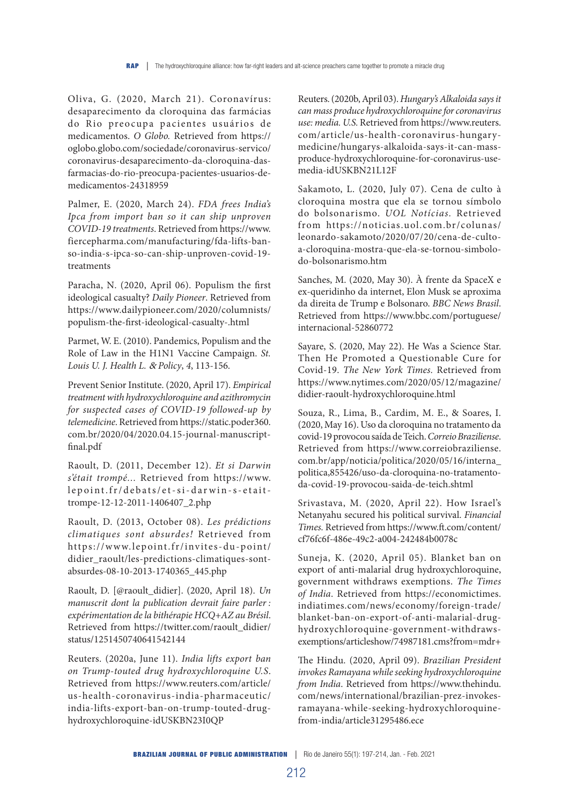Oliva, G. (2020, March 21). Coronavírus: desaparecimento da cloroquina das farmácias do Rio preocupa pacientes usuários de medicamentos. *O Globo.* Retrieved from https:// oglobo.globo.com/sociedade/coronavirus-servico/ coronavirus-desaparecimento-da-cloroquina-dasfarmacias-do-rio-preocupa-pacientes-usuarios-demedicamentos-24318959

Palmer, E. (2020, March 24). *FDA frees India's Ipca from import ban so it can ship unproven COVID-19 treatments*. Retrieved from https://www. fiercepharma.com/manufacturing/fda-lifts-banso-india-s-ipca-so-can-ship-unproven-covid-19 treatments

Paracha, N. (2020, April 06). Populism the first ideological casualty? *Daily Pioneer*. Retrieved from https://www.dailypioneer.com/2020/columnists/ populism-the-first-ideological-casualty-.html

Parmet, W. E. (2010). Pandemics, Populism and the Role of Law in the H1N1 Vaccine Campaign. *St. Louis U. J. Health L.* & *Policy*, *4*, 113-156.

Prevent Senior Institute. (2020, April 17). *Empirical treatment with hydroxychloroquine and azithromycin for suspected cases of COVID-19 followed-up by telemedicine*. Retrieved from https://static.poder360. com.br/2020/04/2020.04.15-journal-manuscriptfinal.pdf

Raoult, D. (2011, December 12). *Et si Darwin s'était trompé...* Retrieved from https://www. lepoint.fr/debats/et-si-darwin-s-etaittrompe-12-12-2011-1406407\_2.php

Raoult, D. (2013, October 08). *Les prédictions climatiques sont absurdes!* Retrieved from https://www.lepoint.fr/invites-du-point/ didier\_raoult/les-predictions-climatiques-sontabsurdes-08-10-2013-1740365\_445.php

Raoult, D. [@raoult\_didier]. (2020, April 18). *Un manuscrit dont la publication devrait faire parler : expérimentation de la bithérapie HCQ+AZ au Brésil*. Retrieved from https://twitter.com/raoult\_didier/ status/1251450740641542144

Reuters. (2020a, June 11). *India lifts export ban on Trump-touted drug hydroxychloroquine U.S*. Retrieved from https://www.reuters.com/article/ us-health-coronavirus-india-pharmaceutic/ india-lifts-export-ban-on-trump-touted-drughydroxychloroquine-idUSKBN23I0QP

Reuters. (2020b, April 03). *Hungary's Alkaloida says it can mass produce hydroxychloroquine for coronavirus use: media. U.S.* Retrieved from https://www.reuters. com/article/us-health-coronavirus-hungarymedicine/hungarys-alkaloida-says-it-can-massproduce-hydroxychloroquine-for-coronavirus-usemedia-idUSKBN21L12F

Sakamoto, L. (2020, July 07). Cena de culto à cloroquina mostra que ela se tornou símbolo do bolsonarismo. *UOL Notícias.* Retrieved from https://noticias.uol.com.br/colunas/ leonardo-sakamoto/2020/07/20/cena-de-cultoa-cloroquina-mostra-que-ela-se-tornou-simbolodo-bolsonarismo.htm

Sanches, M. (2020, May 30). À frente da SpaceX e ex-queridinho da internet, Elon Musk se aproxima da direita de Trump e Bolsonaro. *BBC News Brasil*. Retrieved from https://www.bbc.com/portuguese/ internacional-52860772

Sayare, S. (2020, May 22). He Was a Science Star. Then He Promoted a Questionable Cure for Covid-19. *The New York Times.* Retrieved from https://www.nytimes.com/2020/05/12/magazine/ didier-raoult-hydroxychloroquine.html

Souza, R., Lima, B., Cardim, M. E., & Soares, I. (2020, May 16). Uso da cloroquina no tratamento da covid-19 provocou saída de Teich. *Correio Braziliense*. Retrieved from https://www.correiobraziliense. com.br/app/noticia/politica/2020/05/16/interna\_ politica,855426/uso-da-cloroquina-no-tratamentoda-covid-19-provocou-saida-de-teich.shtml

Srivastava, M. (2020, April 22). How Israel's Netanyahu secured his political survival. *Financial Times.* Retrieved from https://www.ft.com/content/ cf76fc6f-486e-49c2-a004-242484b0078c

Suneja, K. (2020, April 05). Blanket ban on export of anti-malarial drug hydroxychloroquine, government withdraws exemptions. *The Times of India*. Retrieved from https://economictimes. indiatimes.com/news/economy/foreign-trade/ blanket-ban-on-export-of-anti-malarial-drughydroxychloroquine-government-withdrawsexemptions/articleshow/74987181.cms?from=mdr+

The Hindu. (2020, April 09). *Brazilian President invokes Ramayana while seeking hydroxychloroquine from India*. Retrieved from https://www.thehindu. com/news/international/brazilian-prez-invokesramayana-while-seeking-hydroxychloroquinefrom-india/article31295486.ece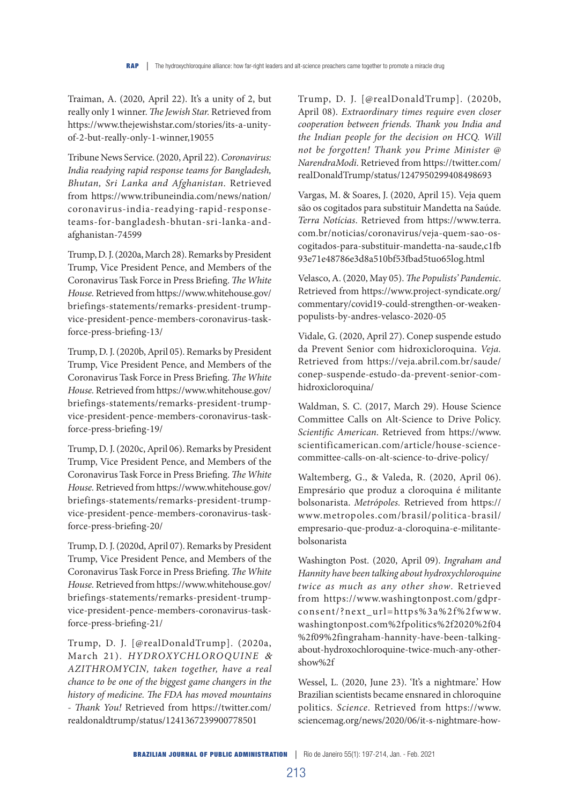Traiman, A. (2020, April 22). It's a unity of 2, but really only 1 winner. *The Jewish Star.* Retrieved from https://www.thejewishstar.com/stories/its-a-unityof-2-but-really-only-1-winner,19055

Tribune News Service. (2020, April 22). *Coronavirus: India readying rapid response teams for Bangladesh, Bhutan, Sri Lanka and Afghanistan*. Retrieved from https://www.tribuneindia.com/news/nation/ coronavirus-india-readying-rapid-responseteams-for-bangladesh-bhutan-sri-lanka-andafghanistan-74599

Trump, D. J. (2020a, March 28). Remarks by President Trump, Vice President Pence, and Members of the Coronavirus Task Force in Press Briefing. *The White House.* Retrieved from https://www.whitehouse.gov/ briefings-statements/remarks-president-trumpvice-president-pence-members-coronavirus-taskforce-press-briefing-13/

Trump, D. J. (2020b, April 05). Remarks by President Trump, Vice President Pence, and Members of the Coronavirus Task Force in Press Briefing. *The White House.* Retrieved from https://www.whitehouse.gov/ briefings-statements/remarks-president-trumpvice-president-pence-members-coronavirus-taskforce-press-briefing-19/

Trump, D. J. (2020c, April 06). Remarks by President Trump, Vice President Pence, and Members of the Coronavirus Task Force in Press Briefing. *The White House.* Retrieved from https://www.whitehouse.gov/ briefings-statements/remarks-president-trumpvice-president-pence-members-coronavirus-taskforce-press-briefing-20/

Trump, D. J. (2020d, April 07). Remarks by President Trump, Vice President Pence, and Members of the Coronavirus Task Force in Press Briefing. *The White House.* Retrieved from https://www.whitehouse.gov/ briefings-statements/remarks-president-trumpvice-president-pence-members-coronavirus-taskforce-press-briefing-21/

Trump, D. J. [@realDonaldTrump]. (2020a, March 21). *HYDROXYCHLOROQUINE* & *AZITHROMYCIN, taken together, have a real chance to be one of the biggest game changers in the history of medicine. The FDA has moved mountains - Thank You!* Retrieved from https://twitter.com/ realdonaldtrump/status/1241367239900778501

Trump, D. J. [@realDonaldTrump]. (2020b, April 08). *Extraordinary times require even closer cooperation between friends. Thank you India and the Indian people for the decision on HCQ. Will not be forgotten! Thank you Prime Minister @ NarendraModi*. Retrieved from https://twitter.com/ realDonaldTrump/status/1247950299408498693

Vargas, M. & Soares, J. (2020, April 15). Veja quem são os cogitados para substituir Mandetta na Saúde. *Terra Notícias*. Retrieved from https://www.terra. com.br/noticias/coronavirus/veja-quem-sao-oscogitados-para-substituir-mandetta-na-saude,c1fb 93e71e48786e3d8a510bf53fbad5tuo65log.html

Velasco, A. (2020, May 05). *The Populists' Pandemic*. Retrieved from https://www.project-syndicate.org/ commentary/covid19-could-strengthen-or-weakenpopulists-by-andres-velasco-2020-05

Vidale, G. (2020, April 27). Conep suspende estudo da Prevent Senior com hidroxicloroquina. *Veja.*  Retrieved from https://veja.abril.com.br/saude/ conep-suspende-estudo-da-prevent-senior-comhidroxicloroquina/

Waldman, S. C. (2017, March 29). House Science Committee Calls on Alt-Science to Drive Policy. *Scientific American*. Retrieved from https://www. scientificamerican.com/article/house-sciencecommittee-calls-on-alt-science-to-drive-policy/

Waltemberg, G., & Valeda, R. (2020, April 06). Empresário que produz a cloroquina é militante bolsonarista. *Metrópoles.* Retrieved from https:// www.metropoles.com/brasil/politica-brasil/ empresario-que-produz-a-cloroquina-e-militantebolsonarista

Washington Post. (2020, April 09). *Ingraham and Hannity have been talking about hydroxychloroquine twice as much as any other show*. Retrieved from https://www.washingtonpost.com/gdprconsent/?next\_url=https%3a%2f%2fwww. washingtonpost.com%2fpolitics%2f2020%2f04 %2f09%2fingraham-hannity-have-been-talkingabout-hydroxochloroquine-twice-much-any-othershow%2f

Wessel, L. (2020, June 23). 'It's a nightmare.' How Brazilian scientists became ensnared in chloroquine politics. *Science*. Retrieved from https://www. sciencemag.org/news/2020/06/it-s-nightmare-how